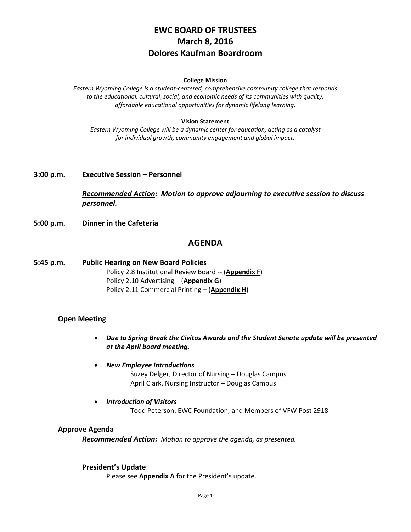# **EWC BOARD OF TRUSTEES March 8, 2016 Dolores Kaufman Boardroom**

#### **College Mission**

*Eastern Wyoming College is a student-centered, comprehensive community college that responds to the educational, cultural, social, and economic needs of its communities with quality, affordable educational opportunities for dynamic lifelong learning.*

#### **Vision Statement**

*Eastern Wyoming College will be a dynamic center for education, acting as a catalyst for individual growth, community engagement and global impact.*

### **3:00 p.m. Executive Session – Personnel**

*Recommended Action: Motion to approve adjourning to executive session to discuss personnel.*

**5:00 p.m. Dinner in the Cafeteria**

## **AGENDA**

**5:45 p.m. Public Hearing on New Board Policies** Policy 2.8 Institutional Review Board -- (**Appendix F**) Policy 2.10 Advertising – (**Appendix G**) Policy 2.11 Commercial Printing – (**Appendix H**)

#### **Open Meeting**

- *Due to Spring Break the Civitas Awards and the Student Senate update will be presented at the April board meeting.*
- *New Employee Introductions*

Suzey Delger, Director of Nursing – Douglas Campus April Clark, Nursing Instructor – Douglas Campus

 *Introduction of Visitors* Todd Peterson, EWC Foundation, and Members of VFW Post 2918

### **Approve Agenda**

*Recommended Action: Motion to approve the agenda, as presented.*

#### **President's Update**:

Please see **Appendix A** for the President's update.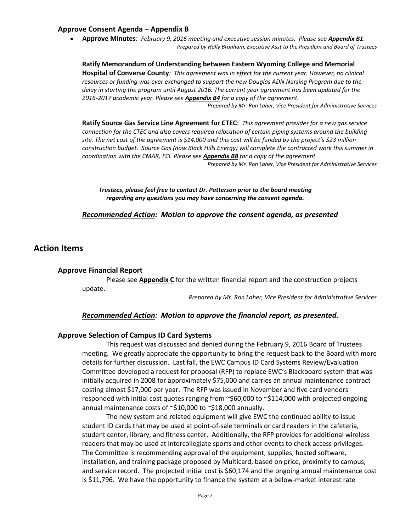### **Approve Consent Agenda** – **Appendix B**

 **Approve Minutes**: *February 9, 2016 meeting and executive session minutes. Please see Appendix B1*. *Prepared by Holly Branham, Executive Asst to the President and Board of Trustees*

**Ratify Memorandum of Understanding between Eastern Wyoming College and Memorial Hospital of Converse County***: This agreement was in effect for the current year. However, no clinical resources or funding was ever exchanged to support the new Douglas ADN Nursing Program due to the delay in starting the program until August 2016. The current year agreement has been updated for the 2016-2017 academic year. Please see Appendix B4 for a copy of the agreement. Prepared by Mr. Ron Laher, Vice President for Administrative Services*

**Ratify Source Gas Service Line Agreement for CTEC**: *This agreement provides for a new gas service connection for the CTEC and also covers required relocation of certain piping systems around the building site. The net cost of the agreement is \$14,000 and this cost will be funded by the project's \$23 million construction budget. Source Gas (now Black Hills Energy) will complete the contracted work this summer in coordination with the CMAR, FCI. Please see Appendix B8 for a copy of the agreement. Prepared by Mr. Ron Laher, Vice President for Administrative Services*

*Trustees, please feel free to contact Dr. Patterson prior to the board meeting regarding any questions you may have concerning the consent agenda.*

*Recommended Action: Motion to approve the consent agenda, as presented*

## **Action Items**

#### **Approve Financial Report**

Please see **Appendix C** for the written financial report and the construction projects update.

*Prepared by Mr. Ron Laher, Vice President for Administrative Services*

#### *Recommended Action: Motion to approve the financial report, as presented.*

#### **Approve Selection of Campus ID Card Systems**

This request was discussed and denied during the February 9, 2016 Board of Trustees meeting. We greatly appreciate the opportunity to bring the request back to the Board with more details for further discussion. Last fall, the EWC Campus ID Card Systems Review/Evaluation Committee developed a request for proposal (RFP) to replace EWC's Blackboard system that was initially acquired in 2008 for approximately \$75,000 and carries an annual maintenance contract costing almost \$17,000 per year. The RFP was issued in November and five card vendors responded with initial cost quotes ranging from ~\$60,000 to ~\$114,000 with projected ongoing annual maintenance costs of ~\$10,000 to ~\$18,000 annually.

The new system and related equipment will give EWC the continued ability to issue student ID cards that may be used at point-of-sale terminals or card readers in the cafeteria, student center, library, and fitness center. Additionally, the RFP provides for additional wireless readers that may be used at intercollegiate sports and other events to check access privileges. The Committee is recommending approval of the equipment, supplies, hosted software, installation, and training package proposed by Multicard, based on price, proximity to campus, and service record. The projected initial cost is \$60,174 and the ongoing annual maintenance cost is \$11,796. We have the opportunity to finance the system at a below-market interest rate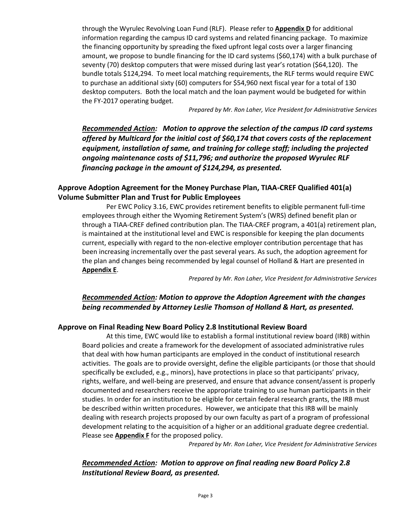through the Wyrulec Revolving Loan Fund (RLF). Please refer to **Appendix D** for additional information regarding the campus ID card systems and related financing package. To maximize the financing opportunity by spreading the fixed upfront legal costs over a larger financing amount, we propose to bundle financing for the ID card systems (\$60,174) with a bulk purchase of seventy (70) desktop computers that were missed during last year's rotation (\$64,120). The bundle totals \$124,294. To meet local matching requirements, the RLF terms would require EWC to purchase an additional sixty (60) computers for \$54,960 next fiscal year for a total of 130 desktop computers. Both the local match and the loan payment would be budgeted for within the FY-2017 operating budget.

*Prepared by Mr. Ron Laher, Vice President for Administrative Services*

*Recommended Action: Motion to approve the selection of the campus ID card systems offered by Multicard for the initial cost of \$60,174 that covers costs of the replacement equipment, installation of same, and training for college staff; including the projected ongoing maintenance costs of \$11,796; and authorize the proposed Wyrulec RLF financing package in the amount of \$124,294, as presented.*

## **Approve Adoption Agreement for the Money Purchase Plan, TIAA-CREF Qualified 401(a) Volume Submitter Plan and Trust for Public Employees**

Per EWC Policy 3.16, EWC provides retirement benefits to eligible permanent full-time employees through either the Wyoming Retirement System's (WRS) defined benefit plan or through a TIAA-CREF defined contribution plan. The TIAA-CREF program, a 401(a) retirement plan, is maintained at the institutional level and EWC is responsible for keeping the plan documents current, especially with regard to the non-elective employer contribution percentage that has been increasing incrementally over the past several years. As such, the adoption agreement for the plan and changes being recommended by legal counsel of Holland & Hart are presented in **Appendix E**.

*Prepared by Mr. Ron Laher, Vice President for Administrative Services*

## *Recommended Action: Motion to approve the Adoption Agreement with the changes being recommended by Attorney Leslie Thomson of Holland & Hart, as presented.*

## **Approve on Final Reading New Board Policy 2.8 Institutional Review Board**

At this time, EWC would like to establish a formal institutional review board (IRB) within Board policies and create a framework for the development of associated administrative rules that deal with how human participants are employed in the conduct of institutional research activities. The goals are to provide oversight, define the eligible participants (or those that should specifically be excluded, e.g., minors), have protections in place so that participants' privacy, rights, welfare, and well-being are preserved, and ensure that advance consent/assent is properly documented and researchers receive the appropriate training to use human participants in their studies. In order for an institution to be eligible for certain federal research grants, the IRB must be described within written procedures. However, we anticipate that this IRB will be mainly dealing with research projects proposed by our own faculty as part of a program of professional development relating to the acquisition of a higher or an additional graduate degree credential. Please see **Appendix F** for the proposed policy.

*Prepared by Mr. Ron Laher, Vice President for Administrative Services*

## *Recommended Action: Motion to approve on final reading new Board Policy 2.8 Institutional Review Board, as presented.*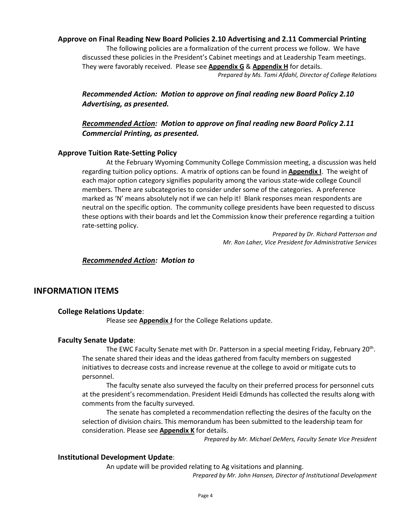### **Approve on Final Reading New Board Policies 2.10 Advertising and 2.11 Commercial Printing**

The following policies are a formalization of the current process we follow. We have discussed these policies in the President's Cabinet meetings and at Leadership Team meetings. They were favorably received. Please see **Appendix G** & **Appendix H** for details. *Prepared by Ms. Tami Afdahl, Director of College Relations*

*Recommended Action: Motion to approve on final reading new Board Policy 2.10 Advertising, as presented.*

## *Recommended Action: Motion to approve on final reading new Board Policy 2.11 Commercial Printing, as presented.*

#### **Approve Tuition Rate-Setting Policy**

At the February Wyoming Community College Commission meeting, a discussion was held regarding tuition policy options. A matrix of options can be found in **Appendix I**. The weight of each major option category signifies popularity among the various state-wide college Council members. There are subcategories to consider under some of the categories. A preference marked as 'N' means absolutely not if we can help it! Blank responses mean respondents are neutral on the specific option. The community college presidents have been requested to discuss these options with their boards and let the Commission know their preference regarding a tuition rate-setting policy.

> *Prepared by Dr. Richard Patterson and Mr. Ron Laher, Vice President for Administrative Services*

## *Recommended Action: Motion to*

## **INFORMATION ITEMS**

#### **College Relations Update**:

Please see **Appendix J** for the College Relations update.

#### **Faculty Senate Update**:

The EWC Faculty Senate met with Dr. Patterson in a special meeting Friday, February 20<sup>th</sup>. The senate shared their ideas and the ideas gathered from faculty members on suggested initiatives to decrease costs and increase revenue at the college to avoid or mitigate cuts to personnel.

The faculty senate also surveyed the faculty on their preferred process for personnel cuts at the president's recommendation. President Heidi Edmunds has collected the results along with comments from the faculty surveyed.

The senate has completed a recommendation reflecting the desires of the faculty on the selection of division chairs. This memorandum has been submitted to the leadership team for consideration. Please see **Appendix K** for details.

*Prepared by Mr. Michael DeMers, Faculty Senate Vice President*

#### **Institutional Development Update**:

An update will be provided relating to Ag visitations and planning.

*Prepared by Mr. John Hansen, Director of Institutional Development*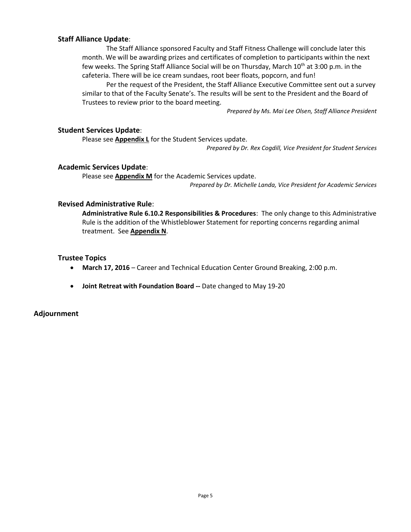### **Staff Alliance Update**:

The Staff Alliance sponsored Faculty and Staff Fitness Challenge will conclude later this month. We will be awarding prizes and certificates of completion to participants within the next few weeks. The Spring Staff Alliance Social will be on Thursday, March 10<sup>th</sup> at 3:00 p.m. in the cafeteria. There will be ice cream sundaes, root beer floats, popcorn, and fun!

Per the request of the President, the Staff Alliance Executive Committee sent out a survey similar to that of the Faculty Senate's. The results will be sent to the President and the Board of Trustees to review prior to the board meeting.

*Prepared by Ms. Mai Lee Olsen, Staff Alliance President*

### **Student Services Update**:

Please see **Appendix L** for the Student Services update.

*Prepared by Dr. Rex Cogdill, Vice President for Student Services*

### **Academic Services Update**:

Please see **Appendix M** for the Academic Services update. *Prepared by Dr. Michelle Landa, Vice President for Academic Services*

### **Revised Administrative Rule**:

**Administrative Rule 6.10.2 Responsibilities & Procedures**: The only change to this Administrative Rule is the addition of the Whistleblower Statement for reporting concerns regarding animal treatment. See **Appendix N**.

### **Trustee Topics**

- **March 17, 2016** Career and Technical Education Center Ground Breaking, 2:00 p.m.
- **Joint Retreat with Foundation Board --** Date changed to May 19-20

### **Adjournment**